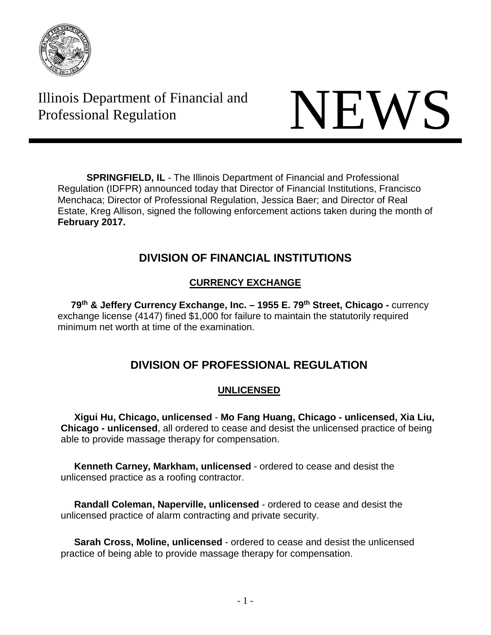

Illinois Department of Financial and Illinois Department of Financial and<br>Professional Regulation



**SPRINGFIELD, IL** - The Illinois Department of Financial and Professional Regulation (IDFPR) announced today that Director of Financial Institutions, Francisco Menchaca; Director of Professional Regulation, Jessica Baer; and Director of Real Estate, Kreg Allison, signed the following enforcement actions taken during the month of **February 2017.**

# **DIVISION OF FINANCIAL INSTITUTIONS**

# **CURRENCY EXCHANGE**

**79th & Jeffery Currency Exchange, Inc. – 1955 E. 79th Street, Chicago -** currency exchange license (4147) fined \$1,000 for failure to maintain the statutorily required minimum net worth at time of the examination.

# **DIVISION OF PROFESSIONAL REGULATION**

# **UNLICENSED**

 **Xigui Hu, Chicago, unlicensed** - **Mo Fang Huang, Chicago - unlicensed, Xia Liu, Chicago - unlicensed**, all ordered to cease and desist the unlicensed practice of being able to provide massage therapy for compensation.

 **Kenneth Carney, Markham, unlicensed** - ordered to cease and desist the unlicensed practice as a roofing contractor.

 **Randall Coleman, Naperville, unlicensed** - ordered to cease and desist the unlicensed practice of alarm contracting and private security.

 **Sarah Cross, Moline, unlicensed** - ordered to cease and desist the unlicensed practice of being able to provide massage therapy for compensation.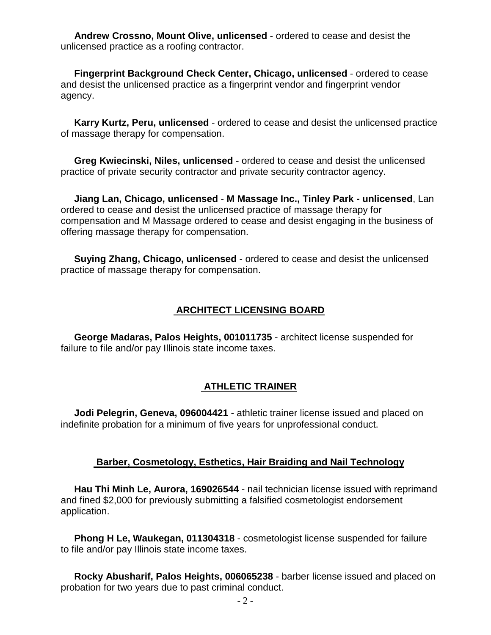**Andrew Crossno, Mount Olive, unlicensed** - ordered to cease and desist the unlicensed practice as a roofing contractor.

 **Fingerprint Background Check Center, Chicago, unlicensed** - ordered to cease and desist the unlicensed practice as a fingerprint vendor and fingerprint vendor agency.

 **Karry Kurtz, Peru, unlicensed** - ordered to cease and desist the unlicensed practice of massage therapy for compensation.

 **Greg Kwiecinski, Niles, unlicensed** - ordered to cease and desist the unlicensed practice of private security contractor and private security contractor agency.

 **Jiang Lan, Chicago, unlicensed** - **M Massage Inc., Tinley Park - unlicensed**, Lan ordered to cease and desist the unlicensed practice of massage therapy for compensation and M Massage ordered to cease and desist engaging in the business of offering massage therapy for compensation.

 **Suying Zhang, Chicago, unlicensed** - ordered to cease and desist the unlicensed practice of massage therapy for compensation.

### **ARCHITECT LICENSING BOARD**

 **George Madaras, Palos Heights, 001011735** - architect license suspended for failure to file and/or pay Illinois state income taxes.

#### **ATHLETIC TRAINER**

 **Jodi Pelegrin, Geneva, 096004421** - athletic trainer license issued and placed on indefinite probation for a minimum of five years for unprofessional conduct.

#### **Barber, Cosmetology, Esthetics, Hair Braiding and Nail Technology**

 **Hau Thi Minh Le, Aurora, 169026544** - nail technician license issued with reprimand and fined \$2,000 for previously submitting a falsified cosmetologist endorsement application.

 **Phong H Le, Waukegan, 011304318** - cosmetologist license suspended for failure to file and/or pay Illinois state income taxes.

 **Rocky Abusharif, Palos Heights, 006065238** - barber license issued and placed on probation for two years due to past criminal conduct.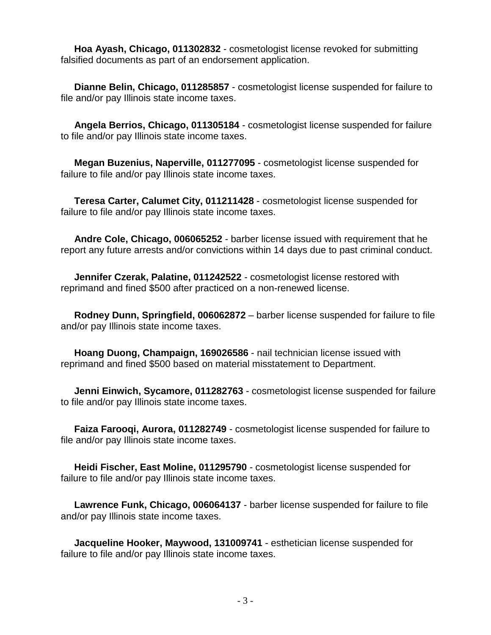**Hoa Ayash, Chicago, 011302832** - cosmetologist license revoked for submitting falsified documents as part of an endorsement application.

 **Dianne Belin, Chicago, 011285857** - cosmetologist license suspended for failure to file and/or pay Illinois state income taxes.

 **Angela Berrios, Chicago, 011305184** - cosmetologist license suspended for failure to file and/or pay Illinois state income taxes.

 **Megan Buzenius, Naperville, 011277095** - cosmetologist license suspended for failure to file and/or pay Illinois state income taxes.

 **Teresa Carter, Calumet City, 011211428** - cosmetologist license suspended for failure to file and/or pay Illinois state income taxes.

 **Andre Cole, Chicago, 006065252** - barber license issued with requirement that he report any future arrests and/or convictions within 14 days due to past criminal conduct.

 **Jennifer Czerak, Palatine, 011242522** - cosmetologist license restored with reprimand and fined \$500 after practiced on a non-renewed license.

 **Rodney Dunn, Springfield, 006062872** – barber license suspended for failure to file and/or pay Illinois state income taxes.

 **Hoang Duong, Champaign, 169026586** - nail technician license issued with reprimand and fined \$500 based on material misstatement to Department.

 **Jenni Einwich, Sycamore, 011282763** - cosmetologist license suspended for failure to file and/or pay Illinois state income taxes.

 **Faiza Farooqi, Aurora, 011282749** - cosmetologist license suspended for failure to file and/or pay Illinois state income taxes.

 **Heidi Fischer, East Moline, 011295790** - cosmetologist license suspended for failure to file and/or pay Illinois state income taxes.

 **Lawrence Funk, Chicago, 006064137** - barber license suspended for failure to file and/or pay Illinois state income taxes.

 **Jacqueline Hooker, Maywood, 131009741** - esthetician license suspended for failure to file and/or pay Illinois state income taxes.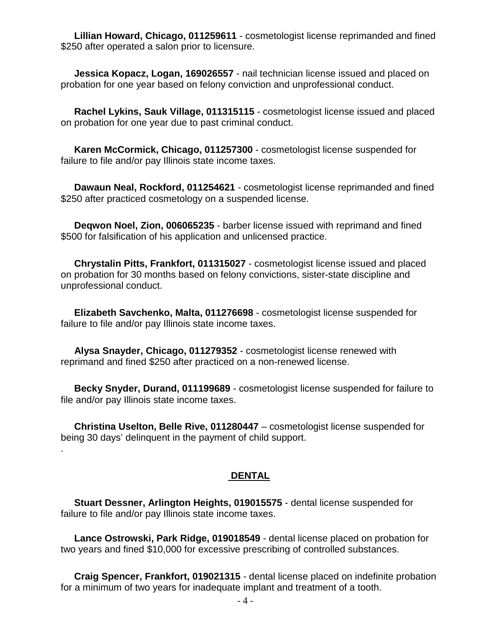**Lillian Howard, Chicago, 011259611** - cosmetologist license reprimanded and fined \$250 after operated a salon prior to licensure.

 **Jessica Kopacz, Logan, 169026557** - nail technician license issued and placed on probation for one year based on felony conviction and unprofessional conduct.

 **Rachel Lykins, Sauk Village, 011315115** - cosmetologist license issued and placed on probation for one year due to past criminal conduct.

 **Karen McCormick, Chicago, 011257300** - cosmetologist license suspended for failure to file and/or pay Illinois state income taxes.

 **Dawaun Neal, Rockford, 011254621** - cosmetologist license reprimanded and fined \$250 after practiced cosmetology on a suspended license.

 **Deqwon Noel, Zion, 006065235** - barber license issued with reprimand and fined \$500 for falsification of his application and unlicensed practice.

 **Chrystalin Pitts, Frankfort, 011315027** - cosmetologist license issued and placed on probation for 30 months based on felony convictions, sister-state discipline and unprofessional conduct.

 **Elizabeth Savchenko, Malta, 011276698** - cosmetologist license suspended for failure to file and/or pay Illinois state income taxes.

 **Alysa Snayder, Chicago, 011279352** - cosmetologist license renewed with reprimand and fined \$250 after practiced on a non-renewed license.

 **Becky Snyder, Durand, 011199689** - cosmetologist license suspended for failure to file and/or pay Illinois state income taxes.

 **Christina Uselton, Belle Rive, 011280447** – cosmetologist license suspended for being 30 days' delinquent in the payment of child support.

.

#### **DENTAL**

 **Stuart Dessner, Arlington Heights, 019015575** - dental license suspended for failure to file and/or pay Illinois state income taxes.

 **Lance Ostrowski, Park Ridge, 019018549** - dental license placed on probation for two years and fined \$10,000 for excessive prescribing of controlled substances.

 **Craig Spencer, Frankfort, 019021315** - dental license placed on indefinite probation for a minimum of two years for inadequate implant and treatment of a tooth.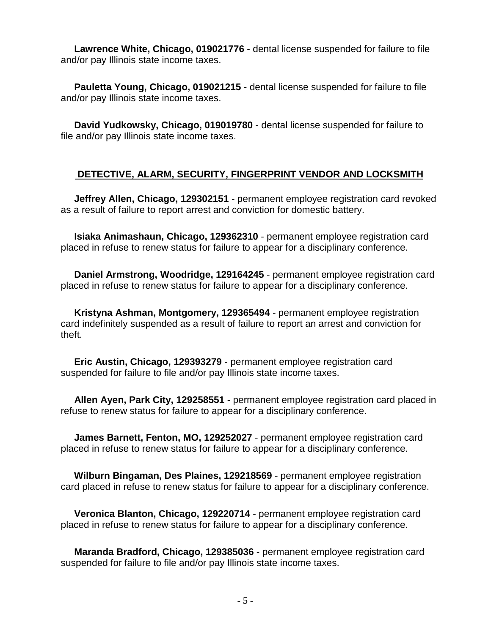**Lawrence White, Chicago, 019021776** - dental license suspended for failure to file and/or pay Illinois state income taxes.

 **Pauletta Young, Chicago, 019021215** - dental license suspended for failure to file and/or pay Illinois state income taxes.

 **David Yudkowsky, Chicago, 019019780** - dental license suspended for failure to file and/or pay Illinois state income taxes.

## **DETECTIVE, ALARM, SECURITY, FINGERPRINT VENDOR AND LOCKSMITH**

 **Jeffrey Allen, Chicago, 129302151** - permanent employee registration card revoked as a result of failure to report arrest and conviction for domestic battery.

 **Isiaka Animashaun, Chicago, 129362310** - permanent employee registration card placed in refuse to renew status for failure to appear for a disciplinary conference.

 **Daniel Armstrong, Woodridge, 129164245** - permanent employee registration card placed in refuse to renew status for failure to appear for a disciplinary conference.

 **Kristyna Ashman, Montgomery, 129365494** - permanent employee registration card indefinitely suspended as a result of failure to report an arrest and conviction for theft.

 **Eric Austin, Chicago, 129393279** - permanent employee registration card suspended for failure to file and/or pay Illinois state income taxes.

 **Allen Ayen, Park City, 129258551** - permanent employee registration card placed in refuse to renew status for failure to appear for a disciplinary conference.

 **James Barnett, Fenton, MO, 129252027** - permanent employee registration card placed in refuse to renew status for failure to appear for a disciplinary conference.

 **Wilburn Bingaman, Des Plaines, 129218569** - permanent employee registration card placed in refuse to renew status for failure to appear for a disciplinary conference.

 **Veronica Blanton, Chicago, 129220714** - permanent employee registration card placed in refuse to renew status for failure to appear for a disciplinary conference.

 **Maranda Bradford, Chicago, 129385036** - permanent employee registration card suspended for failure to file and/or pay Illinois state income taxes.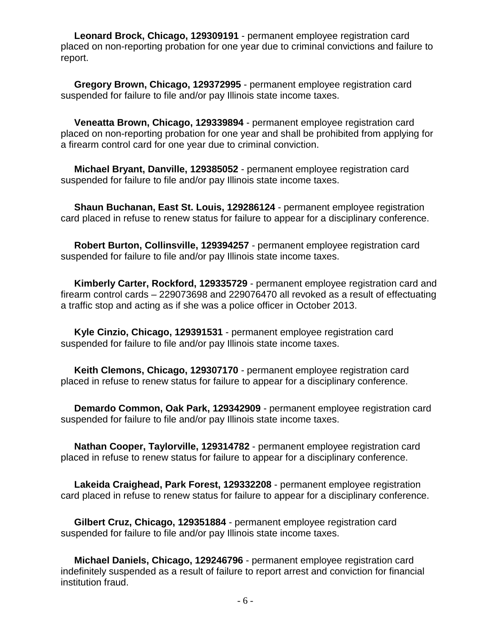**Leonard Brock, Chicago, 129309191** - permanent employee registration card placed on non-reporting probation for one year due to criminal convictions and failure to report.

 **Gregory Brown, Chicago, 129372995** - permanent employee registration card suspended for failure to file and/or pay Illinois state income taxes.

 **Veneatta Brown, Chicago, 129339894** - permanent employee registration card placed on non-reporting probation for one year and shall be prohibited from applying for a firearm control card for one year due to criminal conviction.

 **Michael Bryant, Danville, 129385052** - permanent employee registration card suspended for failure to file and/or pay Illinois state income taxes.

 **Shaun Buchanan, East St. Louis, 129286124** - permanent employee registration card placed in refuse to renew status for failure to appear for a disciplinary conference.

 **Robert Burton, Collinsville, 129394257** - permanent employee registration card suspended for failure to file and/or pay Illinois state income taxes.

 **Kimberly Carter, Rockford, 129335729** - permanent employee registration card and firearm control cards – 229073698 and 229076470 all revoked as a result of effectuating a traffic stop and acting as if she was a police officer in October 2013.

 **Kyle Cinzio, Chicago, 129391531** - permanent employee registration card suspended for failure to file and/or pay Illinois state income taxes.

 **Keith Clemons, Chicago, 129307170** - permanent employee registration card placed in refuse to renew status for failure to appear for a disciplinary conference.

 **Demardo Common, Oak Park, 129342909** - permanent employee registration card suspended for failure to file and/or pay Illinois state income taxes.

 **Nathan Cooper, Taylorville, 129314782** - permanent employee registration card placed in refuse to renew status for failure to appear for a disciplinary conference.

 **Lakeida Craighead, Park Forest, 129332208** - permanent employee registration card placed in refuse to renew status for failure to appear for a disciplinary conference.

 **Gilbert Cruz, Chicago, 129351884** - permanent employee registration card suspended for failure to file and/or pay Illinois state income taxes.

 **Michael Daniels, Chicago, 129246796** - permanent employee registration card indefinitely suspended as a result of failure to report arrest and conviction for financial institution fraud.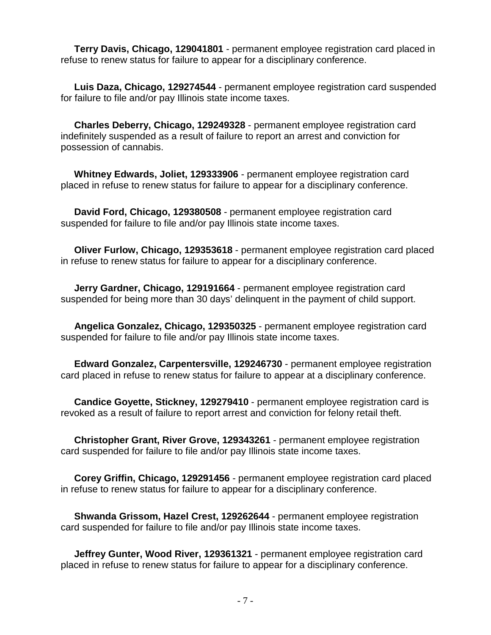**Terry Davis, Chicago, 129041801** - permanent employee registration card placed in refuse to renew status for failure to appear for a disciplinary conference.

 **Luis Daza, Chicago, 129274544** - permanent employee registration card suspended for failure to file and/or pay Illinois state income taxes.

 **Charles Deberry, Chicago, 129249328** - permanent employee registration card indefinitely suspended as a result of failure to report an arrest and conviction for possession of cannabis.

 **Whitney Edwards, Joliet, 129333906** - permanent employee registration card placed in refuse to renew status for failure to appear for a disciplinary conference.

 **David Ford, Chicago, 129380508** - permanent employee registration card suspended for failure to file and/or pay Illinois state income taxes.

 **Oliver Furlow, Chicago, 129353618** - permanent employee registration card placed in refuse to renew status for failure to appear for a disciplinary conference.

 **Jerry Gardner, Chicago, 129191664** - permanent employee registration card suspended for being more than 30 days' delinquent in the payment of child support.

 **Angelica Gonzalez, Chicago, 129350325** - permanent employee registration card suspended for failure to file and/or pay Illinois state income taxes.

 **Edward Gonzalez, Carpentersville, 129246730** - permanent employee registration card placed in refuse to renew status for failure to appear at a disciplinary conference.

 **Candice Goyette, Stickney, 129279410** - permanent employee registration card is revoked as a result of failure to report arrest and conviction for felony retail theft.

 **Christopher Grant, River Grove, 129343261** - permanent employee registration card suspended for failure to file and/or pay Illinois state income taxes.

 **Corey Griffin, Chicago, 129291456** - permanent employee registration card placed in refuse to renew status for failure to appear for a disciplinary conference.

 **Shwanda Grissom, Hazel Crest, 129262644** - permanent employee registration card suspended for failure to file and/or pay Illinois state income taxes.

 **Jeffrey Gunter, Wood River, 129361321** - permanent employee registration card placed in refuse to renew status for failure to appear for a disciplinary conference.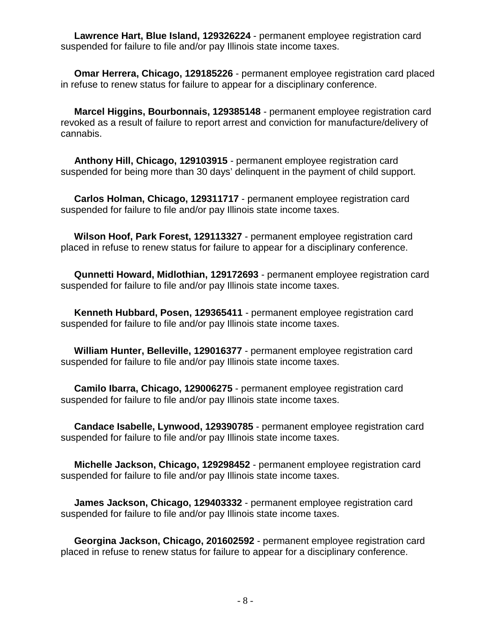**Lawrence Hart, Blue Island, 129326224** - permanent employee registration card suspended for failure to file and/or pay Illinois state income taxes.

 **Omar Herrera, Chicago, 129185226** - permanent employee registration card placed in refuse to renew status for failure to appear for a disciplinary conference.

 **Marcel Higgins, Bourbonnais, 129385148** - permanent employee registration card revoked as a result of failure to report arrest and conviction for manufacture/delivery of cannabis.

 **Anthony Hill, Chicago, 129103915** - permanent employee registration card suspended for being more than 30 days' delinquent in the payment of child support.

 **Carlos Holman, Chicago, 129311717** - permanent employee registration card suspended for failure to file and/or pay Illinois state income taxes.

 **Wilson Hoof, Park Forest, 129113327** - permanent employee registration card placed in refuse to renew status for failure to appear for a disciplinary conference.

 **Qunnetti Howard, Midlothian, 129172693** - permanent employee registration card suspended for failure to file and/or pay Illinois state income taxes.

 **Kenneth Hubbard, Posen, 129365411** - permanent employee registration card suspended for failure to file and/or pay Illinois state income taxes.

 **William Hunter, Belleville, 129016377** - permanent employee registration card suspended for failure to file and/or pay Illinois state income taxes.

 **Camilo Ibarra, Chicago, 129006275** - permanent employee registration card suspended for failure to file and/or pay Illinois state income taxes.

 **Candace Isabelle, Lynwood, 129390785** - permanent employee registration card suspended for failure to file and/or pay Illinois state income taxes.

 **Michelle Jackson, Chicago, 129298452** - permanent employee registration card suspended for failure to file and/or pay Illinois state income taxes.

 **James Jackson, Chicago, 129403332** - permanent employee registration card suspended for failure to file and/or pay Illinois state income taxes.

 **Georgina Jackson, Chicago, 201602592** - permanent employee registration card placed in refuse to renew status for failure to appear for a disciplinary conference.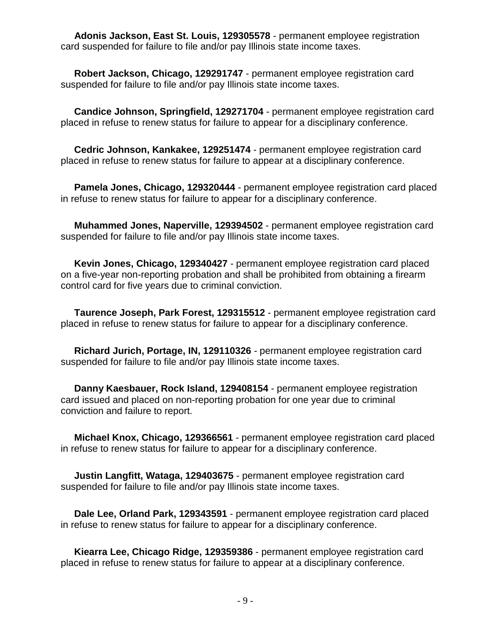**Adonis Jackson, East St. Louis, 129305578** - permanent employee registration card suspended for failure to file and/or pay Illinois state income taxes.

 **Robert Jackson, Chicago, 129291747** - permanent employee registration card suspended for failure to file and/or pay Illinois state income taxes.

 **Candice Johnson, Springfield, 129271704** - permanent employee registration card placed in refuse to renew status for failure to appear for a disciplinary conference.

 **Cedric Johnson, Kankakee, 129251474** - permanent employee registration card placed in refuse to renew status for failure to appear at a disciplinary conference.

 **Pamela Jones, Chicago, 129320444** - permanent employee registration card placed in refuse to renew status for failure to appear for a disciplinary conference.

 **Muhammed Jones, Naperville, 129394502** - permanent employee registration card suspended for failure to file and/or pay Illinois state income taxes.

 **Kevin Jones, Chicago, 129340427** - permanent employee registration card placed on a five-year non-reporting probation and shall be prohibited from obtaining a firearm control card for five years due to criminal conviction.

 **Taurence Joseph, Park Forest, 129315512** - permanent employee registration card placed in refuse to renew status for failure to appear for a disciplinary conference.

 **Richard Jurich, Portage, IN, 129110326** - permanent employee registration card suspended for failure to file and/or pay Illinois state income taxes.

 **Danny Kaesbauer, Rock Island, 129408154** - permanent employee registration card issued and placed on non-reporting probation for one year due to criminal conviction and failure to report.

 **Michael Knox, Chicago, 129366561** - permanent employee registration card placed in refuse to renew status for failure to appear for a disciplinary conference.

 **Justin Langfitt, Wataga, 129403675** - permanent employee registration card suspended for failure to file and/or pay Illinois state income taxes.

 **Dale Lee, Orland Park, 129343591** - permanent employee registration card placed in refuse to renew status for failure to appear for a disciplinary conference.

 **Kiearra Lee, Chicago Ridge, 129359386** - permanent employee registration card placed in refuse to renew status for failure to appear at a disciplinary conference.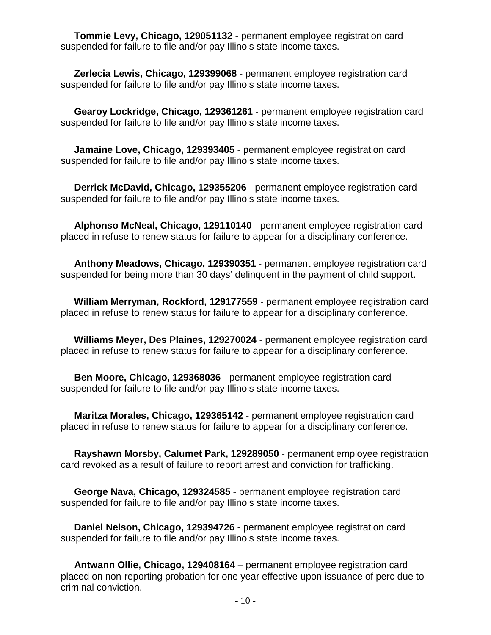**Tommie Levy, Chicago, 129051132** - permanent employee registration card suspended for failure to file and/or pay Illinois state income taxes.

 **Zerlecia Lewis, Chicago, 129399068** - permanent employee registration card suspended for failure to file and/or pay Illinois state income taxes.

 **Gearoy Lockridge, Chicago, 129361261** - permanent employee registration card suspended for failure to file and/or pay Illinois state income taxes.

 **Jamaine Love, Chicago, 129393405** - permanent employee registration card suspended for failure to file and/or pay Illinois state income taxes.

 **Derrick McDavid, Chicago, 129355206** - permanent employee registration card suspended for failure to file and/or pay Illinois state income taxes.

 **Alphonso McNeal, Chicago, 129110140** - permanent employee registration card placed in refuse to renew status for failure to appear for a disciplinary conference.

 **Anthony Meadows, Chicago, 129390351** - permanent employee registration card suspended for being more than 30 days' delinquent in the payment of child support.

 **William Merryman, Rockford, 129177559** - permanent employee registration card placed in refuse to renew status for failure to appear for a disciplinary conference.

 **Williams Meyer, Des Plaines, 129270024** - permanent employee registration card placed in refuse to renew status for failure to appear for a disciplinary conference.

 **Ben Moore, Chicago, 129368036** - permanent employee registration card suspended for failure to file and/or pay Illinois state income taxes.

 **Maritza Morales, Chicago, 129365142** - permanent employee registration card placed in refuse to renew status for failure to appear for a disciplinary conference.

 **Rayshawn Morsby, Calumet Park, 129289050** - permanent employee registration card revoked as a result of failure to report arrest and conviction for trafficking.

 **George Nava, Chicago, 129324585** - permanent employee registration card suspended for failure to file and/or pay Illinois state income taxes.

 **Daniel Nelson, Chicago, 129394726** - permanent employee registration card suspended for failure to file and/or pay Illinois state income taxes.

 **Antwann Ollie, Chicago, 129408164** – permanent employee registration card placed on non-reporting probation for one year effective upon issuance of perc due to criminal conviction.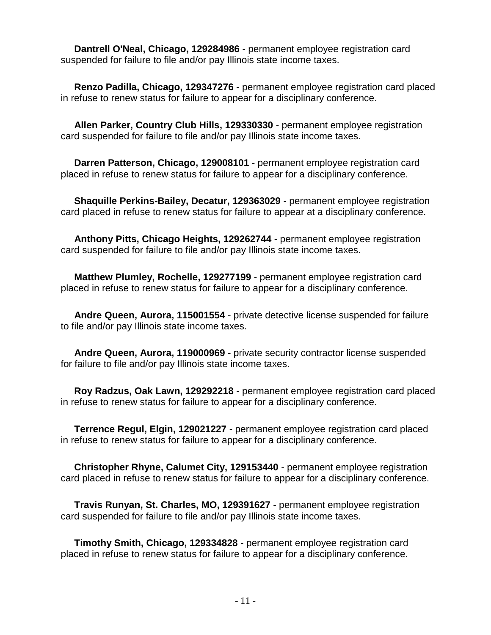**Dantrell O'Neal, Chicago, 129284986** - permanent employee registration card suspended for failure to file and/or pay Illinois state income taxes.

 **Renzo Padilla, Chicago, 129347276** - permanent employee registration card placed in refuse to renew status for failure to appear for a disciplinary conference.

 **Allen Parker, Country Club Hills, 129330330** - permanent employee registration card suspended for failure to file and/or pay Illinois state income taxes.

 **Darren Patterson, Chicago, 129008101** - permanent employee registration card placed in refuse to renew status for failure to appear for a disciplinary conference.

 **Shaquille Perkins-Bailey, Decatur, 129363029** - permanent employee registration card placed in refuse to renew status for failure to appear at a disciplinary conference.

 **Anthony Pitts, Chicago Heights, 129262744** - permanent employee registration card suspended for failure to file and/or pay Illinois state income taxes.

 **Matthew Plumley, Rochelle, 129277199** - permanent employee registration card placed in refuse to renew status for failure to appear for a disciplinary conference.

 **Andre Queen, Aurora, 115001554** - private detective license suspended for failure to file and/or pay Illinois state income taxes.

 **Andre Queen, Aurora, 119000969** - private security contractor license suspended for failure to file and/or pay Illinois state income taxes.

 **Roy Radzus, Oak Lawn, 129292218** - permanent employee registration card placed in refuse to renew status for failure to appear for a disciplinary conference.

 **Terrence Regul, Elgin, 129021227** - permanent employee registration card placed in refuse to renew status for failure to appear for a disciplinary conference.

 **Christopher Rhyne, Calumet City, 129153440** - permanent employee registration card placed in refuse to renew status for failure to appear for a disciplinary conference.

 **Travis Runyan, St. Charles, MO, 129391627** - permanent employee registration card suspended for failure to file and/or pay Illinois state income taxes.

 **Timothy Smith, Chicago, 129334828** - permanent employee registration card placed in refuse to renew status for failure to appear for a disciplinary conference.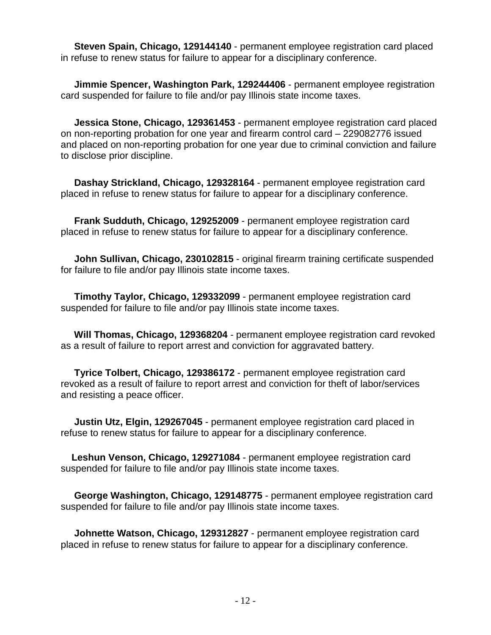**Steven Spain, Chicago, 129144140** - permanent employee registration card placed in refuse to renew status for failure to appear for a disciplinary conference.

 **Jimmie Spencer, Washington Park, 129244406** - permanent employee registration card suspended for failure to file and/or pay Illinois state income taxes.

 **Jessica Stone, Chicago, 129361453** - permanent employee registration card placed on non-reporting probation for one year and firearm control card – 229082776 issued and placed on non-reporting probation for one year due to criminal conviction and failure to disclose prior discipline.

 **Dashay Strickland, Chicago, 129328164** - permanent employee registration card placed in refuse to renew status for failure to appear for a disciplinary conference.

 **Frank Sudduth, Chicago, 129252009** - permanent employee registration card placed in refuse to renew status for failure to appear for a disciplinary conference.

 **John Sullivan, Chicago, 230102815** - original firearm training certificate suspended for failure to file and/or pay Illinois state income taxes.

 **Timothy Taylor, Chicago, 129332099** - permanent employee registration card suspended for failure to file and/or pay Illinois state income taxes.

 **Will Thomas, Chicago, 129368204** - permanent employee registration card revoked as a result of failure to report arrest and conviction for aggravated battery.

 **Tyrice Tolbert, Chicago, 129386172** - permanent employee registration card revoked as a result of failure to report arrest and conviction for theft of labor/services and resisting a peace officer.

 **Justin Utz, Elgin, 129267045** - permanent employee registration card placed in refuse to renew status for failure to appear for a disciplinary conference.

 **Leshun Venson, Chicago, 129271084** - permanent employee registration card suspended for failure to file and/or pay Illinois state income taxes.

 **George Washington, Chicago, 129148775** - permanent employee registration card suspended for failure to file and/or pay Illinois state income taxes.

 **Johnette Watson, Chicago, 129312827** - permanent employee registration card placed in refuse to renew status for failure to appear for a disciplinary conference.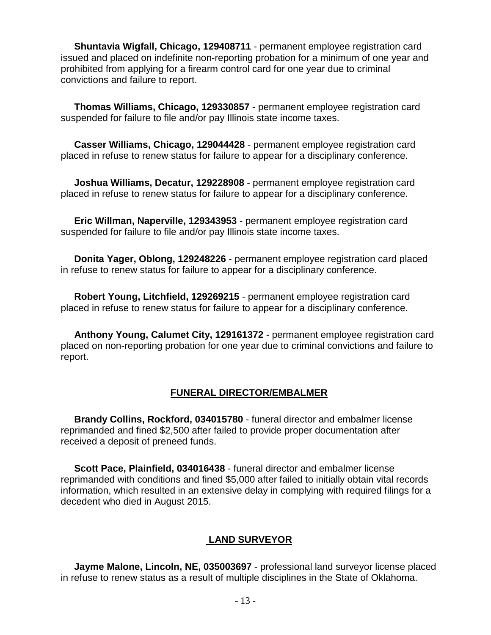**Shuntavia Wigfall, Chicago, 129408711** - permanent employee registration card issued and placed on indefinite non-reporting probation for a minimum of one year and prohibited from applying for a firearm control card for one year due to criminal convictions and failure to report.

 **Thomas Williams, Chicago, 129330857** - permanent employee registration card suspended for failure to file and/or pay Illinois state income taxes.

 **Casser Williams, Chicago, 129044428** - permanent employee registration card placed in refuse to renew status for failure to appear for a disciplinary conference.

 **Joshua Williams, Decatur, 129228908** - permanent employee registration card placed in refuse to renew status for failure to appear for a disciplinary conference.

 **Eric Willman, Naperville, 129343953** - permanent employee registration card suspended for failure to file and/or pay Illinois state income taxes.

 **Donita Yager, Oblong, 129248226** - permanent employee registration card placed in refuse to renew status for failure to appear for a disciplinary conference.

 **Robert Young, Litchfield, 129269215** - permanent employee registration card placed in refuse to renew status for failure to appear for a disciplinary conference.

 **Anthony Young, Calumet City, 129161372** - permanent employee registration card placed on non-reporting probation for one year due to criminal convictions and failure to report.

### **FUNERAL DIRECTOR/EMBALMER**

 **Brandy Collins, Rockford, 034015780** - funeral director and embalmer license reprimanded and fined \$2,500 after failed to provide proper documentation after received a deposit of preneed funds.

 **Scott Pace, Plainfield, 034016438** - funeral director and embalmer license reprimanded with conditions and fined \$5,000 after failed to initially obtain vital records information, which resulted in an extensive delay in complying with required filings for a decedent who died in August 2015.

### **LAND SURVEYOR**

 **Jayme Malone, Lincoln, NE, 035003697** - professional land surveyor license placed in refuse to renew status as a result of multiple disciplines in the State of Oklahoma.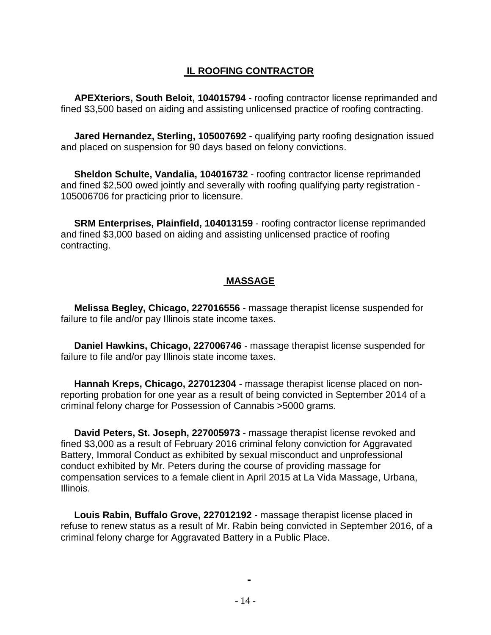## **IL ROOFING CONTRACTOR**

 **APEXteriors, South Beloit, 104015794** - roofing contractor license reprimanded and fined \$3,500 based on aiding and assisting unlicensed practice of roofing contracting.

 **Jared Hernandez, Sterling, 105007692** - qualifying party roofing designation issued and placed on suspension for 90 days based on felony convictions.

 **Sheldon Schulte, Vandalia, 104016732** - roofing contractor license reprimanded and fined \$2,500 owed jointly and severally with roofing qualifying party registration - 105006706 for practicing prior to licensure.

 **SRM Enterprises, Plainfield, 104013159** - roofing contractor license reprimanded and fined \$3,000 based on aiding and assisting unlicensed practice of roofing contracting.

## **MASSAGE**

 **Melissa Begley, Chicago, 227016556** - massage therapist license suspended for failure to file and/or pay Illinois state income taxes.

 **Daniel Hawkins, Chicago, 227006746** - massage therapist license suspended for failure to file and/or pay Illinois state income taxes.

 **Hannah Kreps, Chicago, 227012304** - massage therapist license placed on nonreporting probation for one year as a result of being convicted in September 2014 of a criminal felony charge for Possession of Cannabis >5000 grams.

 **David Peters, St. Joseph, 227005973** - massage therapist license revoked and fined \$3,000 as a result of February 2016 criminal felony conviction for Aggravated Battery, Immoral Conduct as exhibited by sexual misconduct and unprofessional conduct exhibited by Mr. Peters during the course of providing massage for compensation services to a female client in April 2015 at La Vida Massage, Urbana, Illinois.

 **Louis Rabin, Buffalo Grove, 227012192** - massage therapist license placed in refuse to renew status as a result of Mr. Rabin being convicted in September 2016, of a criminal felony charge for Aggravated Battery in a Public Place.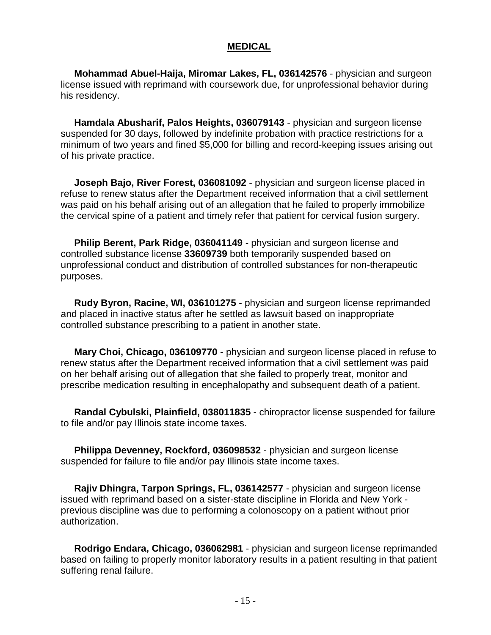#### **MEDICAL**

 **Mohammad Abuel-Haija, Miromar Lakes, FL, 036142576** - physician and surgeon license issued with reprimand with coursework due, for unprofessional behavior during his residency.

 **Hamdala Abusharif, Palos Heights, 036079143** - physician and surgeon license suspended for 30 days, followed by indefinite probation with practice restrictions for a minimum of two years and fined \$5,000 for billing and record-keeping issues arising out of his private practice.

 **Joseph Bajo, River Forest, 036081092** - physician and surgeon license placed in refuse to renew status after the Department received information that a civil settlement was paid on his behalf arising out of an allegation that he failed to properly immobilize the cervical spine of a patient and timely refer that patient for cervical fusion surgery.

 **Philip Berent, Park Ridge, 036041149** - physician and surgeon license and controlled substance license **33609739** both temporarily suspended based on unprofessional conduct and distribution of controlled substances for non-therapeutic purposes.

 **Rudy Byron, Racine, WI, 036101275** - physician and surgeon license reprimanded and placed in inactive status after he settled as lawsuit based on inappropriate controlled substance prescribing to a patient in another state.

 **Mary Choi, Chicago, 036109770** - physician and surgeon license placed in refuse to renew status after the Department received information that a civil settlement was paid on her behalf arising out of allegation that she failed to properly treat, monitor and prescribe medication resulting in encephalopathy and subsequent death of a patient.

 **Randal Cybulski, Plainfield, 038011835** - chiropractor license suspended for failure to file and/or pay Illinois state income taxes.

 **Philippa Devenney, Rockford, 036098532** - physician and surgeon license suspended for failure to file and/or pay Illinois state income taxes.

 **Rajiv Dhingra, Tarpon Springs, FL, 036142577** - physician and surgeon license issued with reprimand based on a sister-state discipline in Florida and New York previous discipline was due to performing a colonoscopy on a patient without prior authorization.

 **Rodrigo Endara, Chicago, 036062981** - physician and surgeon license reprimanded based on failing to properly monitor laboratory results in a patient resulting in that patient suffering renal failure.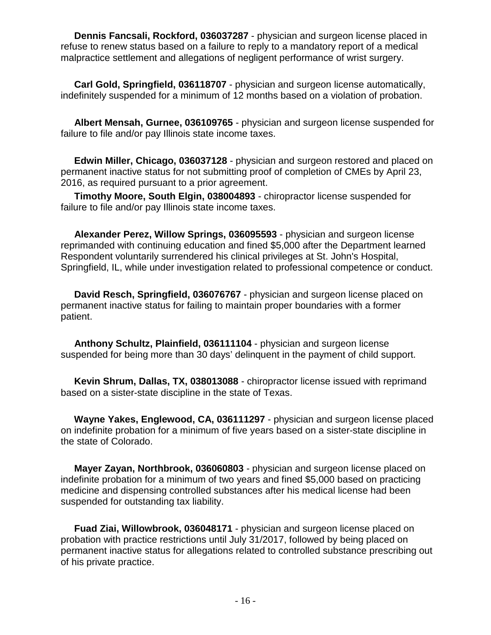**Dennis Fancsali, Rockford, 036037287** - physician and surgeon license placed in refuse to renew status based on a failure to reply to a mandatory report of a medical malpractice settlement and allegations of negligent performance of wrist surgery.

 **Carl Gold, Springfield, 036118707** - physician and surgeon license automatically, indefinitely suspended for a minimum of 12 months based on a violation of probation.

 **Albert Mensah, Gurnee, 036109765** - physician and surgeon license suspended for failure to file and/or pay Illinois state income taxes.

 **Edwin Miller, Chicago, 036037128** - physician and surgeon restored and placed on permanent inactive status for not submitting proof of completion of CMEs by April 23, 2016, as required pursuant to a prior agreement.

 **Timothy Moore, South Elgin, 038004893** - chiropractor license suspended for failure to file and/or pay Illinois state income taxes.

 **Alexander Perez, Willow Springs, 036095593** - physician and surgeon license reprimanded with continuing education and fined \$5,000 after the Department learned Respondent voluntarily surrendered his clinical privileges at St. John's Hospital, Springfield, IL, while under investigation related to professional competence or conduct.

 **David Resch, Springfield, 036076767** - physician and surgeon license placed on permanent inactive status for failing to maintain proper boundaries with a former patient.

 **Anthony Schultz, Plainfield, 036111104** - physician and surgeon license suspended for being more than 30 days' delinquent in the payment of child support.

 **Kevin Shrum, Dallas, TX, 038013088** - chiropractor license issued with reprimand based on a sister-state discipline in the state of Texas.

 **Wayne Yakes, Englewood, CA, 036111297** - physician and surgeon license placed on indefinite probation for a minimum of five years based on a sister-state discipline in the state of Colorado.

 **Mayer Zayan, Northbrook, 036060803** - physician and surgeon license placed on indefinite probation for a minimum of two years and fined \$5,000 based on practicing medicine and dispensing controlled substances after his medical license had been suspended for outstanding tax liability.

 **Fuad Ziai, Willowbrook, 036048171** - physician and surgeon license placed on probation with practice restrictions until July 31/2017, followed by being placed on permanent inactive status for allegations related to controlled substance prescribing out of his private practice.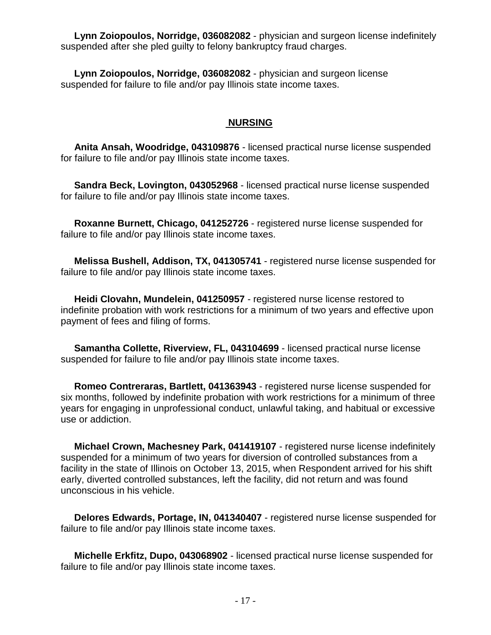**Lynn Zoiopoulos, Norridge, 036082082** - physician and surgeon license indefinitely suspended after she pled guilty to felony bankruptcy fraud charges.

 **Lynn Zoiopoulos, Norridge, 036082082** - physician and surgeon license suspended for failure to file and/or pay Illinois state income taxes.

#### **NURSING**

 **Anita Ansah, Woodridge, 043109876** - licensed practical nurse license suspended for failure to file and/or pay Illinois state income taxes.

 **Sandra Beck, Lovington, 043052968** - licensed practical nurse license suspended for failure to file and/or pay Illinois state income taxes.

 **Roxanne Burnett, Chicago, 041252726** - registered nurse license suspended for failure to file and/or pay Illinois state income taxes.

 **Melissa Bushell, Addison, TX, 041305741** - registered nurse license suspended for failure to file and/or pay Illinois state income taxes.

 **Heidi Clovahn, Mundelein, 041250957** - registered nurse license restored to indefinite probation with work restrictions for a minimum of two years and effective upon payment of fees and filing of forms.

 **Samantha Collette, Riverview, FL, 043104699** - licensed practical nurse license suspended for failure to file and/or pay Illinois state income taxes.

 **Romeo Contreraras, Bartlett, 041363943** - registered nurse license suspended for six months, followed by indefinite probation with work restrictions for a minimum of three years for engaging in unprofessional conduct, unlawful taking, and habitual or excessive use or addiction.

 **Michael Crown, Machesney Park, 041419107** - registered nurse license indefinitely suspended for a minimum of two years for diversion of controlled substances from a facility in the state of Illinois on October 13, 2015, when Respondent arrived for his shift early, diverted controlled substances, left the facility, did not return and was found unconscious in his vehicle.

 **Delores Edwards, Portage, IN, 041340407** - registered nurse license suspended for failure to file and/or pay Illinois state income taxes.

 **Michelle Erkfitz, Dupo, 043068902** - licensed practical nurse license suspended for failure to file and/or pay Illinois state income taxes.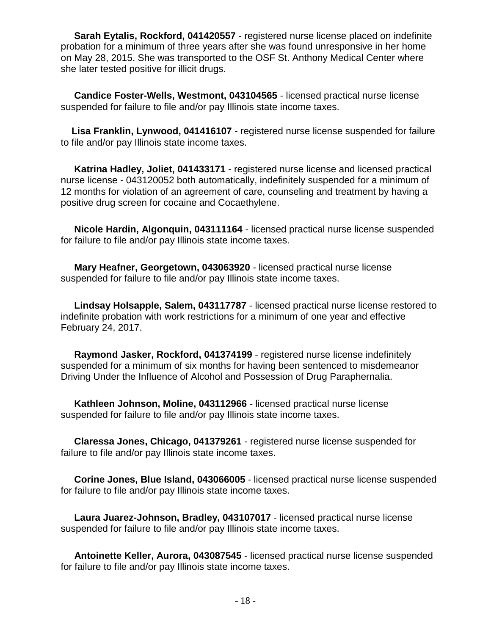**Sarah Eytalis, Rockford, 041420557** - registered nurse license placed on indefinite probation for a minimum of three years after she was found unresponsive in her home on May 28, 2015. She was transported to the OSF St. Anthony Medical Center where she later tested positive for illicit drugs.

 **Candice Foster-Wells, Westmont, 043104565** - licensed practical nurse license suspended for failure to file and/or pay Illinois state income taxes.

 **Lisa Franklin, Lynwood, 041416107** - registered nurse license suspended for failure to file and/or pay Illinois state income taxes.

 **Katrina Hadley, Joliet, 041433171** - registered nurse license and licensed practical nurse license - 043120052 both automatically, indefinitely suspended for a minimum of 12 months for violation of an agreement of care, counseling and treatment by having a positive drug screen for cocaine and Cocaethylene.

 **Nicole Hardin, Algonquin, 043111164** - licensed practical nurse license suspended for failure to file and/or pay Illinois state income taxes.

 **Mary Heafner, Georgetown, 043063920** - licensed practical nurse license suspended for failure to file and/or pay Illinois state income taxes.

 **Lindsay Holsapple, Salem, 043117787** - licensed practical nurse license restored to indefinite probation with work restrictions for a minimum of one year and effective February 24, 2017.

 **Raymond Jasker, Rockford, 041374199** - registered nurse license indefinitely suspended for a minimum of six months for having been sentenced to misdemeanor Driving Under the Influence of Alcohol and Possession of Drug Paraphernalia.

 **Kathleen Johnson, Moline, 043112966** - licensed practical nurse license suspended for failure to file and/or pay Illinois state income taxes.

 **Claressa Jones, Chicago, 041379261** - registered nurse license suspended for failure to file and/or pay Illinois state income taxes.

 **Corine Jones, Blue Island, 043066005** - licensed practical nurse license suspended for failure to file and/or pay Illinois state income taxes.

 **Laura Juarez-Johnson, Bradley, 043107017** - licensed practical nurse license suspended for failure to file and/or pay Illinois state income taxes.

 **Antoinette Keller, Aurora, 043087545** - licensed practical nurse license suspended for failure to file and/or pay Illinois state income taxes.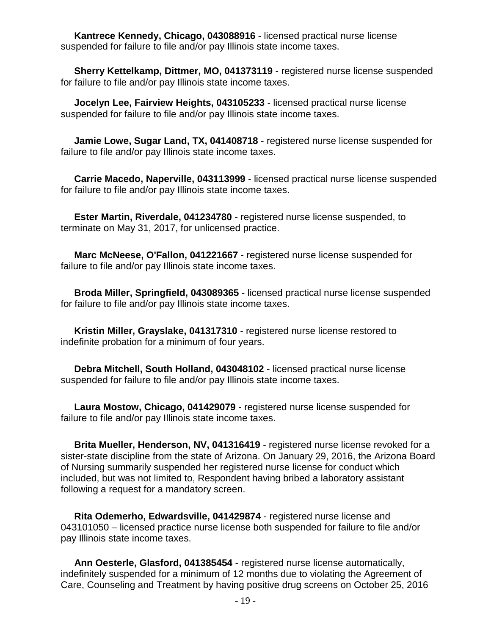**Kantrece Kennedy, Chicago, 043088916** - licensed practical nurse license suspended for failure to file and/or pay Illinois state income taxes.

 **Sherry Kettelkamp, Dittmer, MO, 041373119** - registered nurse license suspended for failure to file and/or pay Illinois state income taxes.

 **Jocelyn Lee, Fairview Heights, 043105233** - licensed practical nurse license suspended for failure to file and/or pay Illinois state income taxes.

 **Jamie Lowe, Sugar Land, TX, 041408718** - registered nurse license suspended for failure to file and/or pay Illinois state income taxes.

 **Carrie Macedo, Naperville, 043113999** - licensed practical nurse license suspended for failure to file and/or pay Illinois state income taxes.

 **Ester Martin, Riverdale, 041234780** - registered nurse license suspended, to terminate on May 31, 2017, for unlicensed practice.

 **Marc McNeese, O'Fallon, 041221667** - registered nurse license suspended for failure to file and/or pay Illinois state income taxes.

 **Broda Miller, Springfield, 043089365** - licensed practical nurse license suspended for failure to file and/or pay Illinois state income taxes.

 **Kristin Miller, Grayslake, 041317310** - registered nurse license restored to indefinite probation for a minimum of four years.

 **Debra Mitchell, South Holland, 043048102** - licensed practical nurse license suspended for failure to file and/or pay Illinois state income taxes.

 **Laura Mostow, Chicago, 041429079** - registered nurse license suspended for failure to file and/or pay Illinois state income taxes.

 **Brita Mueller, Henderson, NV, 041316419** - registered nurse license revoked for a sister-state discipline from the state of Arizona. On January 29, 2016, the Arizona Board of Nursing summarily suspended her registered nurse license for conduct which included, but was not limited to, Respondent having bribed a laboratory assistant following a request for a mandatory screen.

 **Rita Odemerho, Edwardsville, 041429874** - registered nurse license and 043101050 – licensed practice nurse license both suspended for failure to file and/or pay Illinois state income taxes.

 **Ann Oesterle, Glasford, 041385454** - registered nurse license automatically, indefinitely suspended for a minimum of 12 months due to violating the Agreement of Care, Counseling and Treatment by having positive drug screens on October 25, 2016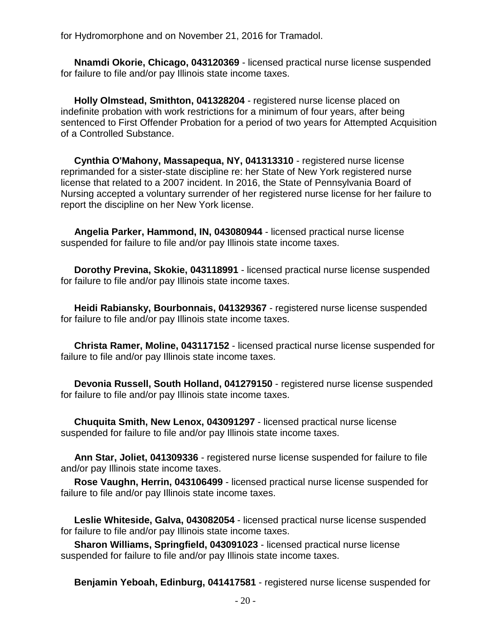for Hydromorphone and on November 21, 2016 for Tramadol.

 **Nnamdi Okorie, Chicago, 043120369** - licensed practical nurse license suspended for failure to file and/or pay Illinois state income taxes.

 **Holly Olmstead, Smithton, 041328204** - registered nurse license placed on indefinite probation with work restrictions for a minimum of four years, after being sentenced to First Offender Probation for a period of two years for Attempted Acquisition of a Controlled Substance.

 **Cynthia O'Mahony, Massapequa, NY, 041313310** - registered nurse license reprimanded for a sister-state discipline re: her State of New York registered nurse license that related to a 2007 incident. In 2016, the State of Pennsylvania Board of Nursing accepted a voluntary surrender of her registered nurse license for her failure to report the discipline on her New York license.

 **Angelia Parker, Hammond, IN, 043080944** - licensed practical nurse license suspended for failure to file and/or pay Illinois state income taxes.

 **Dorothy Previna, Skokie, 043118991** - licensed practical nurse license suspended for failure to file and/or pay Illinois state income taxes.

 **Heidi Rabiansky, Bourbonnais, 041329367** - registered nurse license suspended for failure to file and/or pay Illinois state income taxes.

 **Christa Ramer, Moline, 043117152** - licensed practical nurse license suspended for failure to file and/or pay Illinois state income taxes.

 **Devonia Russell, South Holland, 041279150** - registered nurse license suspended for failure to file and/or pay Illinois state income taxes.

 **Chuquita Smith, New Lenox, 043091297** - licensed practical nurse license suspended for failure to file and/or pay Illinois state income taxes.

 **Ann Star, Joliet, 041309336** - registered nurse license suspended for failure to file and/or pay Illinois state income taxes.

 **Rose Vaughn, Herrin, 043106499** - licensed practical nurse license suspended for failure to file and/or pay Illinois state income taxes.

 **Leslie Whiteside, Galva, 043082054** - licensed practical nurse license suspended for failure to file and/or pay Illinois state income taxes.

 **Sharon Williams, Springfield, 043091023** - licensed practical nurse license suspended for failure to file and/or pay Illinois state income taxes.

**Benjamin Yeboah, Edinburg, 041417581** - registered nurse license suspended for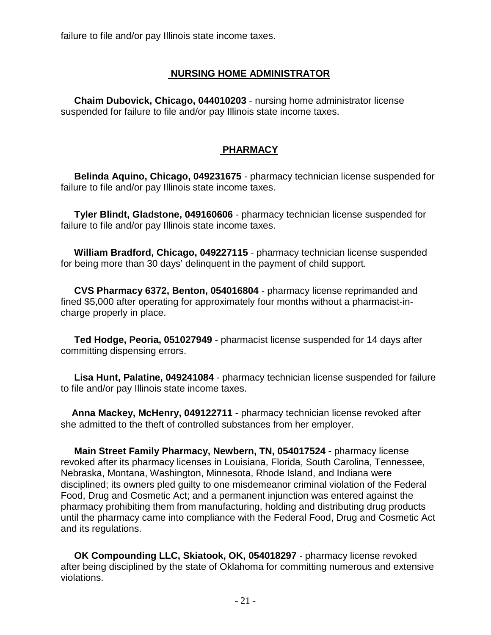failure to file and/or pay Illinois state income taxes.

### **NURSING HOME ADMINISTRATOR**

 **Chaim Dubovick, Chicago, 044010203** - nursing home administrator license suspended for failure to file and/or pay Illinois state income taxes.

### **PHARMACY**

 **Belinda Aquino, Chicago, 049231675** - pharmacy technician license suspended for failure to file and/or pay Illinois state income taxes.

 **Tyler Blindt, Gladstone, 049160606** - pharmacy technician license suspended for failure to file and/or pay Illinois state income taxes.

 **William Bradford, Chicago, 049227115** - pharmacy technician license suspended for being more than 30 days' delinquent in the payment of child support.

 **CVS Pharmacy 6372, Benton, 054016804** - pharmacy license reprimanded and fined \$5,000 after operating for approximately four months without a pharmacist-incharge properly in place.

 **Ted Hodge, Peoria, 051027949** - pharmacist license suspended for 14 days after committing dispensing errors.

 **Lisa Hunt, Palatine, 049241084** - pharmacy technician license suspended for failure to file and/or pay Illinois state income taxes.

 **Anna Mackey, McHenry, 049122711** - pharmacy technician license revoked after she admitted to the theft of controlled substances from her employer.

 **Main Street Family Pharmacy, Newbern, TN, 054017524** - pharmacy license revoked after its pharmacy licenses in Louisiana, Florida, South Carolina, Tennessee, Nebraska, Montana, Washington, Minnesota, Rhode Island, and Indiana were disciplined; its owners pled guilty to one misdemeanor criminal violation of the Federal Food, Drug and Cosmetic Act; and a permanent injunction was entered against the pharmacy prohibiting them from manufacturing, holding and distributing drug products until the pharmacy came into compliance with the Federal Food, Drug and Cosmetic Act and its regulations.

 **OK Compounding LLC, Skiatook, OK, 054018297** - pharmacy license revoked after being disciplined by the state of Oklahoma for committing numerous and extensive violations.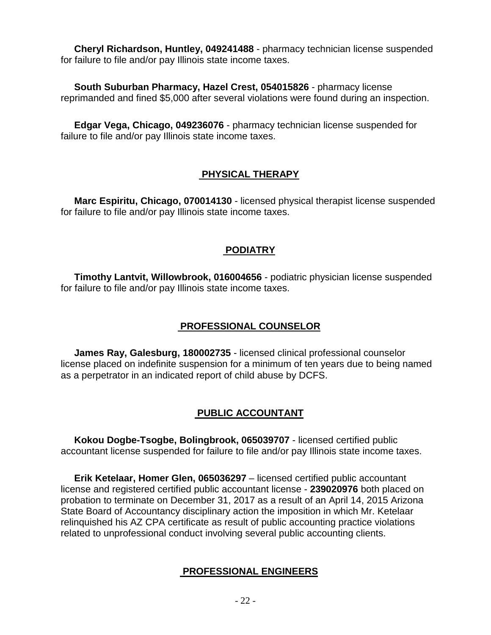**Cheryl Richardson, Huntley, 049241488** - pharmacy technician license suspended for failure to file and/or pay Illinois state income taxes.

 **South Suburban Pharmacy, Hazel Crest, 054015826** - pharmacy license reprimanded and fined \$5,000 after several violations were found during an inspection.

 **Edgar Vega, Chicago, 049236076** - pharmacy technician license suspended for failure to file and/or pay Illinois state income taxes.

# **PHYSICAL THERAPY**

 **Marc Espiritu, Chicago, 070014130** - licensed physical therapist license suspended for failure to file and/or pay Illinois state income taxes.

### **PODIATRY**

 **Timothy Lantvit, Willowbrook, 016004656** - podiatric physician license suspended for failure to file and/or pay Illinois state income taxes.

# **PROFESSIONAL COUNSELOR**

 **James Ray, Galesburg, 180002735** - licensed clinical professional counselor license placed on indefinite suspension for a minimum of ten years due to being named as a perpetrator in an indicated report of child abuse by DCFS.

# **PUBLIC ACCOUNTANT**

 **Kokou Dogbe-Tsogbe, Bolingbrook, 065039707** - licensed certified public accountant license suspended for failure to file and/or pay Illinois state income taxes.

 **Erik Ketelaar, Homer Glen, 065036297** – licensed certified public accountant license and registered certified public accountant license - **239020976** both placed on probation to terminate on December 31, 2017 as a result of an April 14, 2015 Arizona State Board of Accountancy disciplinary action the imposition in which Mr. Ketelaar relinquished his AZ CPA certificate as result of public accounting practice violations related to unprofessional conduct involving several public accounting clients.

# **PROFESSIONAL ENGINEERS**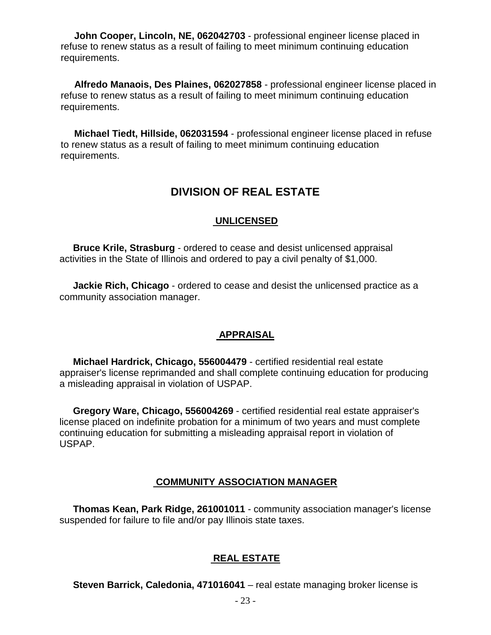**John Cooper, Lincoln, NE, 062042703** - professional engineer license placed in refuse to renew status as a result of failing to meet minimum continuing education requirements.

 **Alfredo Manaois, Des Plaines, 062027858** - professional engineer license placed in refuse to renew status as a result of failing to meet minimum continuing education requirements.

 **Michael Tiedt, Hillside, 062031594** - professional engineer license placed in refuse to renew status as a result of failing to meet minimum continuing education requirements.

# **DIVISION OF REAL ESTATE**

### **UNLICENSED**

 **Bruce Krile, Strasburg** - ordered to cease and desist unlicensed appraisal activities in the State of Illinois and ordered to pay a civil penalty of \$1,000.

 **Jackie Rich, Chicago** - ordered to cease and desist the unlicensed practice as a community association manager.

### **APPRAISAL**

 **Michael Hardrick, Chicago, 556004479** - certified residential real estate appraiser's license reprimanded and shall complete continuing education for producing a misleading appraisal in violation of USPAP.

 **Gregory Ware, Chicago, 556004269** - certified residential real estate appraiser's license placed on indefinite probation for a minimum of two years and must complete continuing education for submitting a misleading appraisal report in violation of USPAP.

# **COMMUNITY ASSOCIATION MANAGER**

 **Thomas Kean, Park Ridge, 261001011** - community association manager's license suspended for failure to file and/or pay Illinois state taxes.

### **REAL ESTATE**

**Steven Barrick, Caledonia, 471016041** – real estate managing broker license is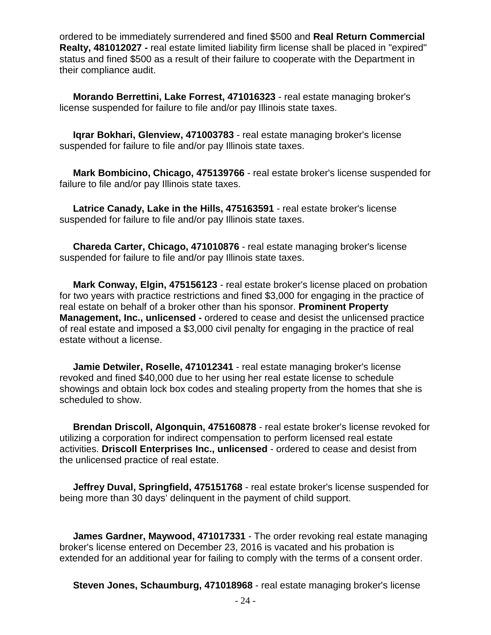ordered to be immediately surrendered and fined \$500 and **Real Return Commercial Realty, 481012027 -** real estate limited liability firm license shall be placed in "expired" status and fined \$500 as a result of their failure to cooperate with the Department in their compliance audit.

 **Morando Berrettini, Lake Forrest, 471016323** - real estate managing broker's license suspended for failure to file and/or pay Illinois state taxes.

 **Iqrar Bokhari, Glenview, 471003783** - real estate managing broker's license suspended for failure to file and/or pay Illinois state taxes.

 **Mark Bombicino, Chicago, 475139766** - real estate broker's license suspended for failure to file and/or pay Illinois state taxes.

 **Latrice Canady, Lake in the Hills, 475163591** - real estate broker's license suspended for failure to file and/or pay Illinois state taxes.

 **Chareda Carter, Chicago, 471010876** - real estate managing broker's license suspended for failure to file and/or pay Illinois state taxes.

 **Mark Conway, Elgin, 475156123** - real estate broker's license placed on probation for two years with practice restrictions and fined \$3,000 for engaging in the practice of real estate on behalf of a broker other than his sponsor. **Prominent Property Management, Inc., unlicensed -** ordered to cease and desist the unlicensed practice of real estate and imposed a \$3,000 civil penalty for engaging in the practice of real estate without a license.

 **Jamie Detwiler, Roselle, 471012341** - real estate managing broker's license revoked and fined \$40,000 due to her using her real estate license to schedule showings and obtain lock box codes and stealing property from the homes that she is scheduled to show.

 **Brendan Driscoll, Algonquin, 475160878** - real estate broker's license revoked for utilizing a corporation for indirect compensation to perform licensed real estate activities. **Driscoll Enterprises Inc., unlicensed** - ordered to cease and desist from the unlicensed practice of real estate.

 **Jeffrey Duval, Springfield, 475151768** - real estate broker's license suspended for being more than 30 days' delinquent in the payment of child support.

 **James Gardner, Maywood, 471017331** - The order revoking real estate managing broker's license entered on December 23, 2016 is vacated and his probation is extended for an additional year for failing to comply with the terms of a consent order.

**Steven Jones, Schaumburg, 471018968** - real estate managing broker's license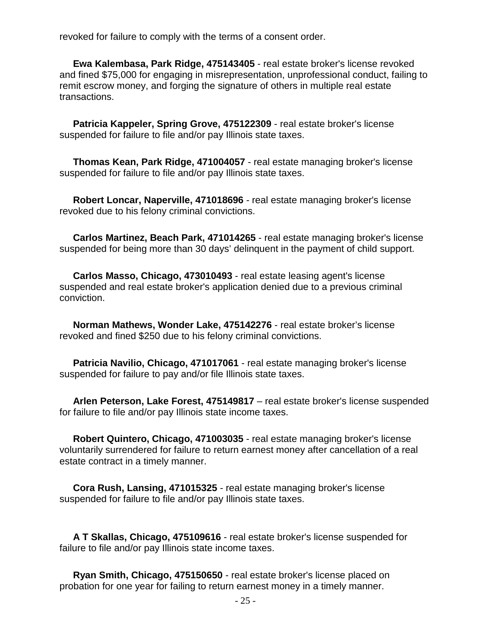revoked for failure to comply with the terms of a consent order.

 **Ewa Kalembasa, Park Ridge, 475143405** - real estate broker's license revoked and fined \$75,000 for engaging in misrepresentation, unprofessional conduct, failing to remit escrow money, and forging the signature of others in multiple real estate transactions.

 **Patricia Kappeler, Spring Grove, 475122309** - real estate broker's license suspended for failure to file and/or pay Illinois state taxes.

 **Thomas Kean, Park Ridge, 471004057** - real estate managing broker's license suspended for failure to file and/or pay Illinois state taxes.

 **Robert Loncar, Naperville, 471018696** - real estate managing broker's license revoked due to his felony criminal convictions.

 **Carlos Martinez, Beach Park, 471014265** - real estate managing broker's license suspended for being more than 30 days' delinquent in the payment of child support.

 **Carlos Masso, Chicago, 473010493** - real estate leasing agent's license suspended and real estate broker's application denied due to a previous criminal conviction.

 **Norman Mathews, Wonder Lake, 475142276** - real estate broker's license revoked and fined \$250 due to his felony criminal convictions.

 **Patricia Navilio, Chicago, 471017061** - real estate managing broker's license suspended for failure to pay and/or file Illinois state taxes.

 **Arlen Peterson, Lake Forest, 475149817** – real estate broker's license suspended for failure to file and/or pay Illinois state income taxes.

 **Robert Quintero, Chicago, 471003035** - real estate managing broker's license voluntarily surrendered for failure to return earnest money after cancellation of a real estate contract in a timely manner.

 **Cora Rush, Lansing, 471015325** - real estate managing broker's license suspended for failure to file and/or pay Illinois state taxes.

 **A T Skallas, Chicago, 475109616** - real estate broker's license suspended for failure to file and/or pay Illinois state income taxes.

 **Ryan Smith, Chicago, 475150650** - real estate broker's license placed on probation for one year for failing to return earnest money in a timely manner.